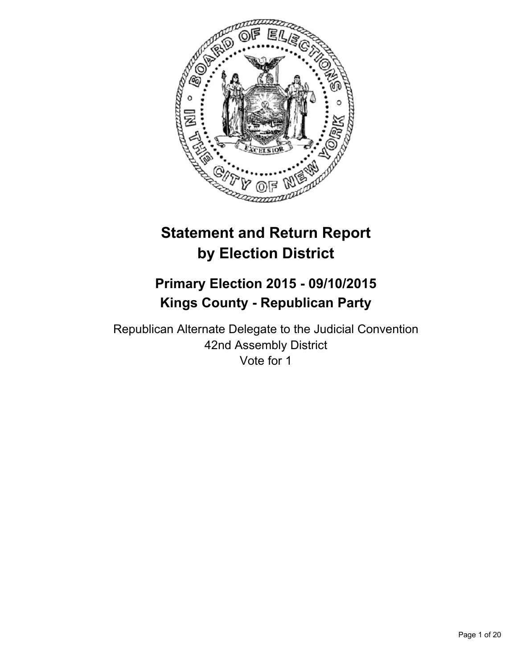

# **Statement and Return Report by Election District**

# **Primary Election 2015 - 09/10/2015 Kings County - Republican Party**

Republican Alternate Delegate to the Judicial Convention 42nd Assembly District Vote for 1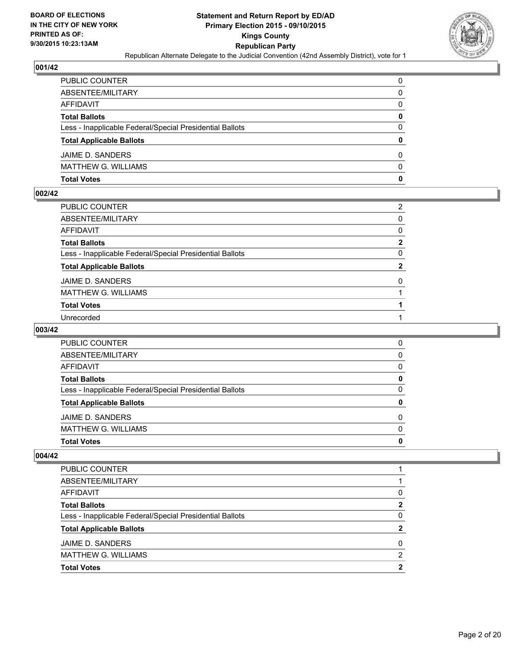

| PUBLIC COUNTER                                           | 0            |
|----------------------------------------------------------|--------------|
| ABSENTEE/MILITARY                                        | $\mathbf{0}$ |
| AFFIDAVIT                                                | 0            |
| <b>Total Ballots</b>                                     | $\mathbf{0}$ |
| Less - Inapplicable Federal/Special Presidential Ballots | $\Omega$     |
| <b>Total Applicable Ballots</b>                          | $\mathbf{0}$ |
| JAIME D. SANDERS                                         | 0            |
| MATTHEW G. WILLIAMS                                      | $\Omega$     |
| Total Votes                                              | $\mathbf{0}$ |

### **002/42**

| PUBLIC COUNTER                                           | 2            |
|----------------------------------------------------------|--------------|
| ABSENTEE/MILITARY                                        | $\Omega$     |
| AFFIDAVIT                                                | $\Omega$     |
| Total Ballots                                            | $\mathbf{2}$ |
| Less - Inapplicable Federal/Special Presidential Ballots | 0            |
| <b>Total Applicable Ballots</b>                          | $\mathbf{2}$ |
| JAIME D. SANDERS                                         | 0            |
| MATTHEW G. WILLIAMS                                      |              |
| <b>Total Votes</b>                                       |              |
| Unrecorded                                               |              |
|                                                          |              |

# **003/42**

| <b>Total Votes</b>                                       | 0 |
|----------------------------------------------------------|---|
| <b>MATTHEW G. WILLIAMS</b>                               | 0 |
| JAIME D. SANDERS                                         | 0 |
| <b>Total Applicable Ballots</b>                          | 0 |
| Less - Inapplicable Federal/Special Presidential Ballots | 0 |
| <b>Total Ballots</b>                                     | 0 |
| AFFIDAVIT                                                | 0 |
| ABSENTEE/MILITARY                                        | 0 |
| <b>PUBLIC COUNTER</b>                                    | 0 |

| <b>PUBLIC COUNTER</b>                                    |   |
|----------------------------------------------------------|---|
| ABSENTEE/MILITARY                                        |   |
| AFFIDAVIT                                                | 0 |
| <b>Total Ballots</b>                                     | 2 |
| Less - Inapplicable Federal/Special Presidential Ballots | 0 |
| <b>Total Applicable Ballots</b>                          | 2 |
| JAIME D. SANDERS                                         | 0 |
| <b>MATTHEW G. WILLIAMS</b>                               | 2 |
| <b>Total Votes</b>                                       | 2 |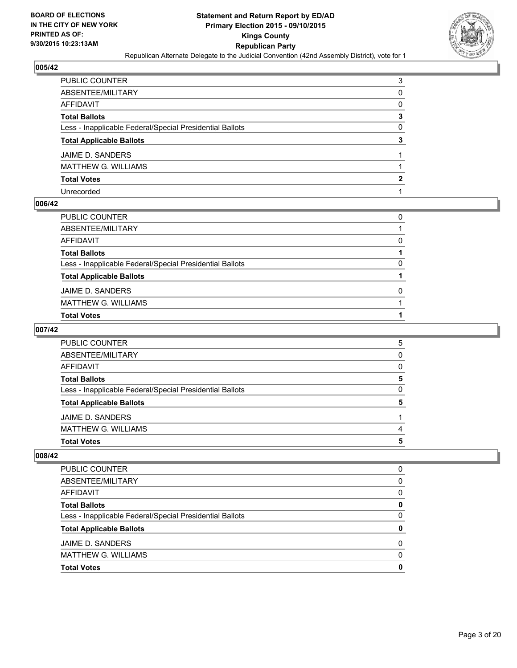

| PUBLIC COUNTER                                           | 3 |
|----------------------------------------------------------|---|
| ABSENTEE/MILITARY                                        | 0 |
| AFFIDAVIT                                                | 0 |
| Total Ballots                                            | 3 |
| Less - Inapplicable Federal/Special Presidential Ballots | 0 |
| <b>Total Applicable Ballots</b>                          | 3 |
| JAIME D. SANDERS                                         |   |
| MATTHEW G. WILLIAMS                                      |   |
| <b>Total Votes</b>                                       | 2 |
| Unrecorded                                               |   |

# **006/42**

| PUBLIC COUNTER                                           | 0 |
|----------------------------------------------------------|---|
| ABSENTEE/MILITARY                                        |   |
| AFFIDAVIT                                                | 0 |
| Total Ballots                                            |   |
| Less - Inapplicable Federal/Special Presidential Ballots | 0 |
| <b>Total Applicable Ballots</b>                          |   |
| JAIME D. SANDERS                                         | 0 |
| MATTHEW G. WILLIAMS                                      |   |
| Total Votes                                              |   |
|                                                          |   |

# **007/42**

| <b>PUBLIC COUNTER</b>                                    | 5 |
|----------------------------------------------------------|---|
| ABSENTEE/MILITARY                                        | 0 |
| AFFIDAVIT                                                | 0 |
| <b>Total Ballots</b>                                     | 5 |
| Less - Inapplicable Federal/Special Presidential Ballots | 0 |
| <b>Total Applicable Ballots</b>                          | 5 |
| JAIME D. SANDERS                                         |   |
| <b>MATTHEW G. WILLIAMS</b>                               | 4 |
| <b>Total Votes</b>                                       | 5 |

| PUBLIC COUNTER                                           | 0 |
|----------------------------------------------------------|---|
| ABSENTEE/MILITARY                                        | 0 |
| AFFIDAVIT                                                | 0 |
| <b>Total Ballots</b>                                     | 0 |
| Less - Inapplicable Federal/Special Presidential Ballots | 0 |
| <b>Total Applicable Ballots</b>                          | 0 |
| JAIME D. SANDERS                                         | 0 |
| <b>MATTHEW G. WILLIAMS</b>                               | 0 |
| <b>Total Votes</b>                                       | o |
|                                                          |   |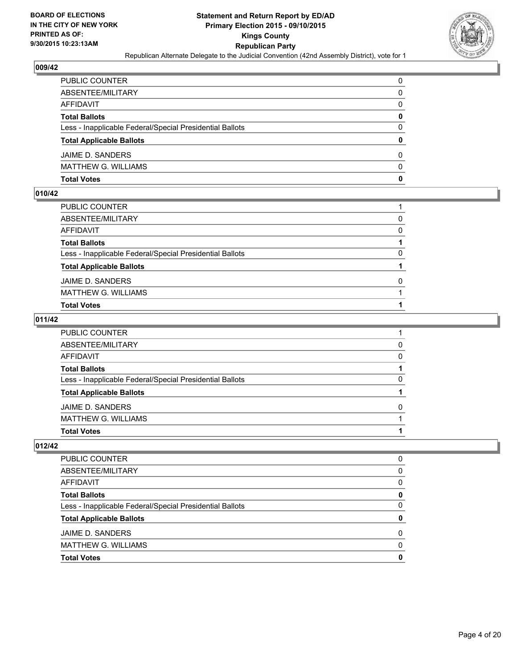

| PUBLIC COUNTER                                           | 0            |
|----------------------------------------------------------|--------------|
| ABSENTEE/MILITARY                                        | 0            |
| AFFIDAVIT                                                | $\mathbf{0}$ |
| <b>Total Ballots</b>                                     | $\mathbf{0}$ |
| Less - Inapplicable Federal/Special Presidential Ballots | $\Omega$     |
| <b>Total Applicable Ballots</b>                          | $\mathbf{0}$ |
| JAIME D. SANDERS                                         | 0            |
| MATTHEW G. WILLIAMS                                      | $\Omega$     |
| Total Votes                                              | $\mathbf{0}$ |

# **010/42**

| Total Votes                                              |          |
|----------------------------------------------------------|----------|
| MATTHEW G. WILLIAMS                                      |          |
| JAIME D. SANDERS                                         | $\Omega$ |
| <b>Total Applicable Ballots</b>                          |          |
| Less - Inapplicable Federal/Special Presidential Ballots | 0        |
| <b>Total Ballots</b>                                     |          |
| AFFIDAVIT                                                | $\Omega$ |
| ABSENTEE/MILITARY                                        | $\Omega$ |
| PUBLIC COUNTER                                           |          |
|                                                          |          |

# **011/42**

| PUBLIC COUNTER                                           |              |
|----------------------------------------------------------|--------------|
| ABSENTEE/MILITARY                                        | 0            |
| AFFIDAVIT                                                | $\Omega$     |
| <b>Total Ballots</b>                                     |              |
| Less - Inapplicable Federal/Special Presidential Ballots | 0            |
| <b>Total Applicable Ballots</b>                          |              |
| JAIME D. SANDERS                                         | <sup>0</sup> |
| MATTHEW G. WILLIAMS                                      |              |
| Total Votes                                              |              |
|                                                          |              |

| <b>PUBLIC COUNTER</b>                                    | 0            |
|----------------------------------------------------------|--------------|
| ABSENTEE/MILITARY                                        | <sup>0</sup> |
| AFFIDAVIT                                                | <sup>0</sup> |
| <b>Total Ballots</b>                                     |              |
| Less - Inapplicable Federal/Special Presidential Ballots | <sup>0</sup> |
| <b>Total Applicable Ballots</b>                          |              |
| JAIME D. SANDERS                                         | O            |
| <b>MATTHEW G. WILLIAMS</b>                               | n            |
| <b>Total Votes</b>                                       |              |
|                                                          |              |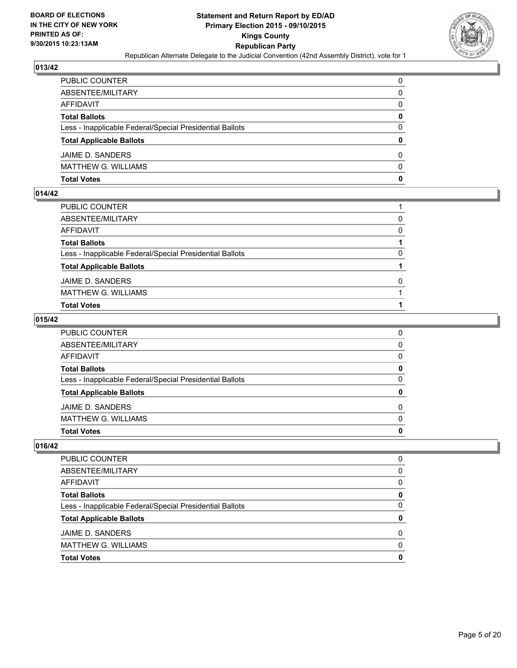

| PUBLIC COUNTER                                           | 0            |
|----------------------------------------------------------|--------------|
| ABSENTEE/MILITARY                                        | $\mathbf{0}$ |
| AFFIDAVIT                                                | 0            |
| <b>Total Ballots</b>                                     | $\mathbf{0}$ |
| Less - Inapplicable Federal/Special Presidential Ballots | $\Omega$     |
| <b>Total Applicable Ballots</b>                          | $\mathbf{0}$ |
| JAIME D. SANDERS                                         | 0            |
| MATTHEW G. WILLIAMS                                      | $\Omega$     |
| Total Votes                                              | $\mathbf{0}$ |

### **014/42**

| PUBLIC COUNTER                                           |          |
|----------------------------------------------------------|----------|
| ABSENTEE/MILITARY                                        | 0        |
| AFFIDAVIT                                                | $\Omega$ |
| <b>Total Ballots</b>                                     |          |
| Less - Inapplicable Federal/Special Presidential Ballots | 0        |
| <b>Total Applicable Ballots</b>                          |          |
| JAIME D. SANDERS                                         | $\Omega$ |
| <b>MATTHEW G. WILLIAMS</b>                               |          |
| <b>Total Votes</b>                                       |          |
|                                                          |          |

# **015/42**

| PUBLIC COUNTER                                           | 0        |
|----------------------------------------------------------|----------|
| ABSENTEE/MILITARY                                        | $\Omega$ |
| AFFIDAVIT                                                | $\Omega$ |
| <b>Total Ballots</b>                                     | 0        |
| Less - Inapplicable Federal/Special Presidential Ballots | 0        |
| <b>Total Applicable Ballots</b>                          | $\bf{0}$ |
| JAIME D. SANDERS                                         | $\Omega$ |
| MATTHEW G. WILLIAMS                                      | $\Omega$ |
| Total Votes                                              | 0        |
|                                                          |          |

| PUBLIC COUNTER                                           |   |
|----------------------------------------------------------|---|
| ABSENTEE/MILITARY                                        | 0 |
| <b>AFFIDAVIT</b>                                         | 0 |
| <b>Total Ballots</b>                                     | Ω |
| Less - Inapplicable Federal/Special Presidential Ballots | O |
| <b>Total Applicable Ballots</b>                          |   |
| JAIME D. SANDERS                                         | ŋ |
| <b>MATTHEW G. WILLIAMS</b>                               | n |
| <b>Total Votes</b>                                       |   |
|                                                          |   |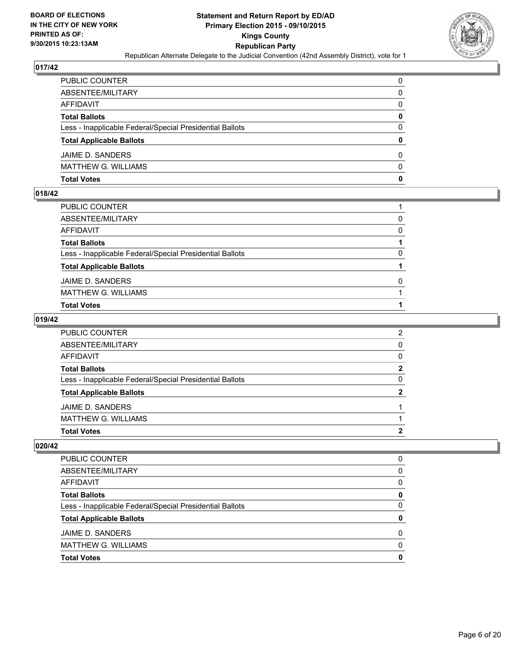

| PUBLIC COUNTER                                           | 0            |
|----------------------------------------------------------|--------------|
| ABSENTEE/MILITARY                                        | $\mathbf{0}$ |
| AFFIDAVIT                                                | 0            |
| Total Ballots                                            | 0            |
| Less - Inapplicable Federal/Special Presidential Ballots | $\Omega$     |
| <b>Total Applicable Ballots</b>                          | $\bf{0}$     |
| JAIME D. SANDERS                                         | 0            |
| MATTHEW G. WILLIAMS                                      | $\Omega$     |
| Total Votes                                              | $\mathbf{0}$ |

# **018/42**

| PUBLIC COUNTER                                           |          |
|----------------------------------------------------------|----------|
| ABSENTEE/MILITARY                                        | 0        |
| AFFIDAVIT                                                | $\Omega$ |
| <b>Total Ballots</b>                                     |          |
| Less - Inapplicable Federal/Special Presidential Ballots | 0        |
| <b>Total Applicable Ballots</b>                          |          |
| JAIME D. SANDERS                                         | $\Omega$ |
| <b>MATTHEW G. WILLIAMS</b>                               |          |
| <b>Total Votes</b>                                       |          |
|                                                          |          |

### **019/42**

| PUBLIC COUNTER                                           | 2              |
|----------------------------------------------------------|----------------|
| ABSENTEE/MILITARY                                        | $\Omega$       |
| AFFIDAVIT                                                | $\Omega$       |
| <b>Total Ballots</b>                                     | $\mathbf{2}$   |
| Less - Inapplicable Federal/Special Presidential Ballots | $\Omega$       |
| <b>Total Applicable Ballots</b>                          | $\overline{2}$ |
| JAIME D. SANDERS                                         |                |
| MATTHEW G. WILLIAMS                                      |                |
| <b>Total Votes</b>                                       | 2              |
|                                                          |                |

| PUBLIC COUNTER                                           |   |
|----------------------------------------------------------|---|
| ABSENTEE/MILITARY                                        | 0 |
| <b>AFFIDAVIT</b>                                         | 0 |
| <b>Total Ballots</b>                                     | Ω |
| Less - Inapplicable Federal/Special Presidential Ballots | O |
| <b>Total Applicable Ballots</b>                          |   |
| JAIME D. SANDERS                                         | ŋ |
| <b>MATTHEW G. WILLIAMS</b>                               | n |
| <b>Total Votes</b>                                       |   |
|                                                          |   |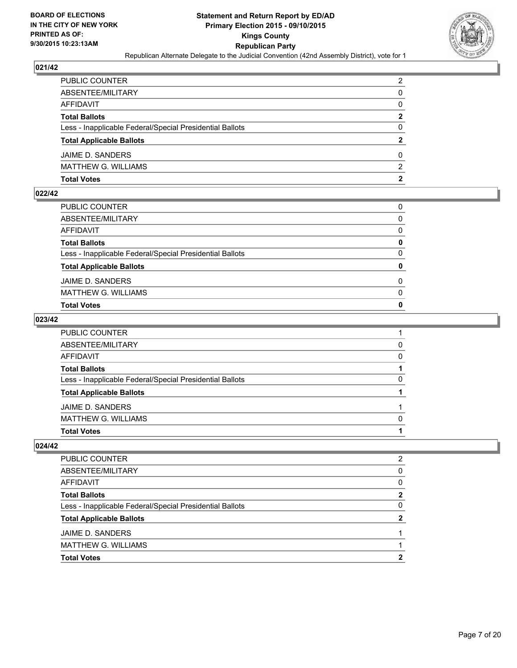

| PUBLIC COUNTER                                           | $\overline{2}$ |
|----------------------------------------------------------|----------------|
| ABSENTEE/MILITARY                                        | 0              |
| AFFIDAVIT                                                | 0              |
| Total Ballots                                            | $\mathbf{2}$   |
| Less - Inapplicable Federal/Special Presidential Ballots | $\Omega$       |
| <b>Total Applicable Ballots</b>                          | $\overline{2}$ |
| JAIME D. SANDERS                                         | 0              |
| MATTHEW G. WILLIAMS                                      | 2              |
| Total Votes                                              | $\mathbf{2}$   |

### **022/42**

| <b>Total Votes</b>                                       | 0            |
|----------------------------------------------------------|--------------|
| <b>MATTHEW G. WILLIAMS</b>                               | $\Omega$     |
| JAIME D. SANDERS                                         | 0            |
| <b>Total Applicable Ballots</b>                          | $\mathbf{0}$ |
| Less - Inapplicable Federal/Special Presidential Ballots | $\Omega$     |
| <b>Total Ballots</b>                                     | 0            |
| AFFIDAVIT                                                | $\Omega$     |
| ABSENTEE/MILITARY                                        | $\Omega$     |
| PUBLIC COUNTER                                           | 0            |

### **023/42**

| PUBLIC COUNTER                                           |          |
|----------------------------------------------------------|----------|
| ABSENTEE/MILITARY                                        | 0        |
| AFFIDAVIT                                                | $\Omega$ |
| <b>Total Ballots</b>                                     |          |
| Less - Inapplicable Federal/Special Presidential Ballots | 0        |
| <b>Total Applicable Ballots</b>                          |          |
| JAIME D. SANDERS                                         |          |
| MATTHEW G. WILLIAMS                                      | $\Omega$ |
| Total Votes                                              |          |
|                                                          |          |

| <b>PUBLIC COUNTER</b>                                    | 2 |
|----------------------------------------------------------|---|
| ABSENTEE/MILITARY                                        | 0 |
| AFFIDAVIT                                                | 0 |
| <b>Total Ballots</b>                                     | 2 |
| Less - Inapplicable Federal/Special Presidential Ballots | O |
| <b>Total Applicable Ballots</b>                          | 2 |
| JAIME D. SANDERS                                         |   |
| <b>MATTHEW G. WILLIAMS</b>                               |   |
| <b>Total Votes</b>                                       | ּ |
|                                                          |   |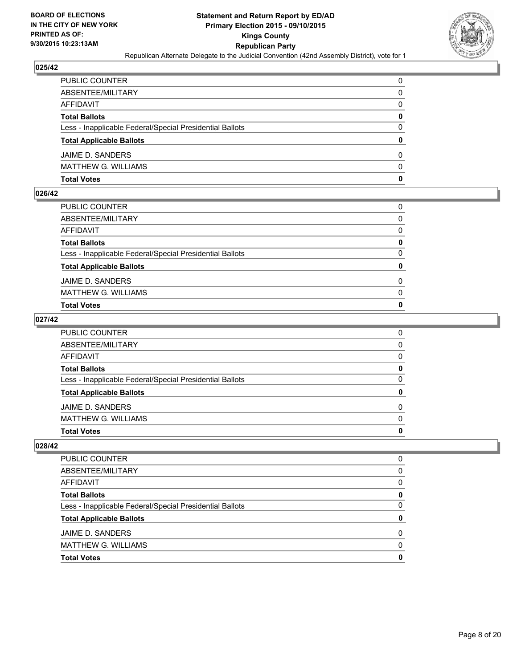

| PUBLIC COUNTER                                           | 0            |
|----------------------------------------------------------|--------------|
| ABSENTEE/MILITARY                                        | 0            |
| AFFIDAVIT                                                | $\mathbf{0}$ |
| <b>Total Ballots</b>                                     | $\mathbf{0}$ |
| Less - Inapplicable Federal/Special Presidential Ballots | $\Omega$     |
| <b>Total Applicable Ballots</b>                          | $\mathbf{0}$ |
| JAIME D. SANDERS                                         | 0            |
| MATTHEW G. WILLIAMS                                      | $\Omega$     |
| Total Votes                                              | $\mathbf{0}$ |

### **026/42**

| <b>Total Votes</b>                                       | 0        |
|----------------------------------------------------------|----------|
| <b>MATTHEW G. WILLIAMS</b>                               | 0        |
| JAIME D. SANDERS                                         | $\Omega$ |
| <b>Total Applicable Ballots</b>                          | 0        |
| Less - Inapplicable Federal/Special Presidential Ballots | $\Omega$ |
| <b>Total Ballots</b>                                     | 0        |
| AFFIDAVIT                                                | $\Omega$ |
| ABSENTEE/MILITARY                                        | $\Omega$ |
| PUBLIC COUNTER                                           | 0        |

# **027/42**

| PUBLIC COUNTER                                           | 0            |
|----------------------------------------------------------|--------------|
| ABSENTEE/MILITARY                                        | $\Omega$     |
| AFFIDAVIT                                                | $\Omega$     |
| <b>Total Ballots</b>                                     | $\mathbf{0}$ |
| Less - Inapplicable Federal/Special Presidential Ballots | 0            |
| <b>Total Applicable Ballots</b>                          | $\bf{0}$     |
| JAIME D. SANDERS                                         | $\Omega$     |
| MATTHEW G. WILLIAMS                                      | $\Omega$     |
| Total Votes                                              | $\mathbf{0}$ |
|                                                          |              |

| <b>PUBLIC COUNTER</b>                                    | 0            |
|----------------------------------------------------------|--------------|
| ABSENTEE/MILITARY                                        | <sup>0</sup> |
| AFFIDAVIT                                                | <sup>0</sup> |
| <b>Total Ballots</b>                                     |              |
| Less - Inapplicable Federal/Special Presidential Ballots | <sup>0</sup> |
| <b>Total Applicable Ballots</b>                          |              |
| JAIME D. SANDERS                                         | O            |
| <b>MATTHEW G. WILLIAMS</b>                               | n            |
| <b>Total Votes</b>                                       |              |
|                                                          |              |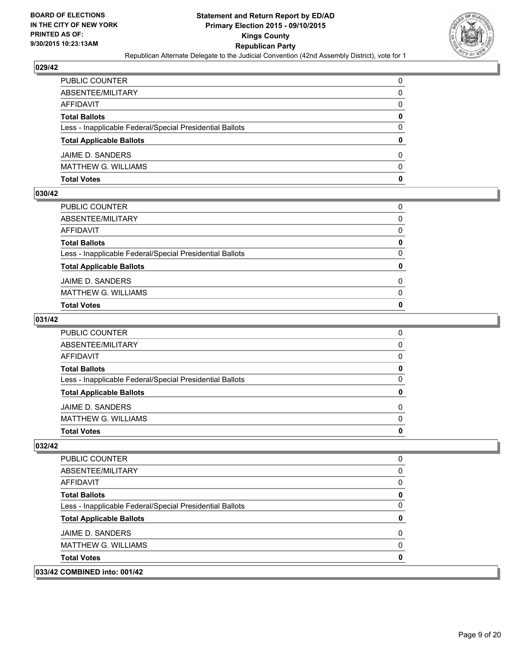

| PUBLIC COUNTER                                           | 0            |
|----------------------------------------------------------|--------------|
| ABSENTEE/MILITARY                                        | 0            |
| AFFIDAVIT                                                | $\mathbf{0}$ |
| <b>Total Ballots</b>                                     | 0            |
| Less - Inapplicable Federal/Special Presidential Ballots | $\Omega$     |
| <b>Total Applicable Ballots</b>                          | $\mathbf{0}$ |
| JAIME D. SANDERS                                         | 0            |
| MATTHEW G. WILLIAMS                                      | $\Omega$     |
| Total Votes                                              | $\mathbf{0}$ |

### **030/42**

| <b>Total Votes</b>                                       | 0            |
|----------------------------------------------------------|--------------|
| <b>MATTHEW G. WILLIAMS</b>                               | $\Omega$     |
| JAIME D. SANDERS                                         | $\Omega$     |
| <b>Total Applicable Ballots</b>                          | $\mathbf{0}$ |
| Less - Inapplicable Federal/Special Presidential Ballots | 0            |
| <b>Total Ballots</b>                                     | 0            |
| <b>AFFIDAVIT</b>                                         | $\Omega$     |
| ABSENTEE/MILITARY                                        | $\Omega$     |
| PUBLIC COUNTER                                           | 0            |

# **031/42**

| PUBLIC COUNTER                                           | 0        |
|----------------------------------------------------------|----------|
| ABSENTEE/MILITARY                                        | $\Omega$ |
| AFFIDAVIT                                                | $\Omega$ |
| <b>Total Ballots</b>                                     | 0        |
| Less - Inapplicable Federal/Special Presidential Ballots | 0        |
| <b>Total Applicable Ballots</b>                          | $\bf{0}$ |
| JAIME D. SANDERS                                         | $\Omega$ |
| MATTHEW G. WILLIAMS                                      | $\Omega$ |
| Total Votes                                              | 0        |
|                                                          |          |

| 033/42 COMBINED into: 001/42                             |  |
|----------------------------------------------------------|--|
| <b>Total Votes</b>                                       |  |
| <b>MATTHEW G. WILLIAMS</b>                               |  |
| JAIME D. SANDERS                                         |  |
| <b>Total Applicable Ballots</b>                          |  |
| Less - Inapplicable Federal/Special Presidential Ballots |  |
| <b>Total Ballots</b>                                     |  |
| AFFIDAVIT                                                |  |
| ABSENTEE/MILITARY                                        |  |
| <b>PUBLIC COUNTER</b>                                    |  |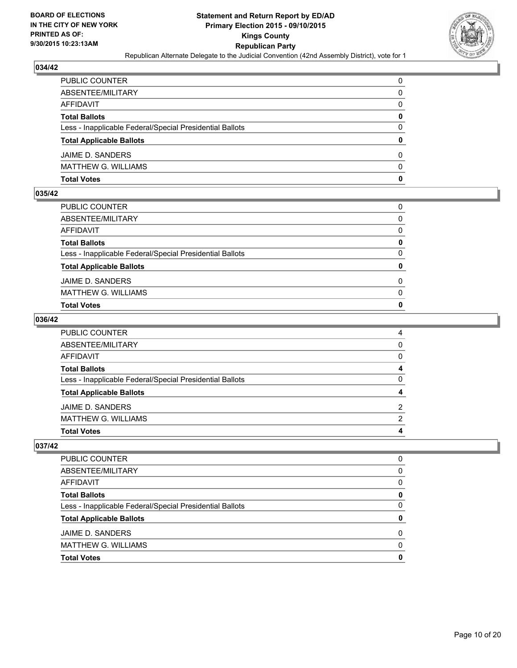

| PUBLIC COUNTER                                           | 0            |
|----------------------------------------------------------|--------------|
| ABSENTEE/MILITARY                                        | 0            |
| AFFIDAVIT                                                | $\mathbf{0}$ |
| <b>Total Ballots</b>                                     | 0            |
| Less - Inapplicable Federal/Special Presidential Ballots | $\Omega$     |
| <b>Total Applicable Ballots</b>                          | $\mathbf{0}$ |
| JAIME D. SANDERS                                         | 0            |
| MATTHEW G. WILLIAMS                                      | $\Omega$     |
| Total Votes                                              | 0            |

# **035/42**

| PUBLIC COUNTER                                           | $\Omega$     |
|----------------------------------------------------------|--------------|
| ABSENTEE/MILITARY                                        | $\Omega$     |
| AFFIDAVIT                                                | $\Omega$     |
| Total Ballots                                            | 0            |
| Less - Inapplicable Federal/Special Presidential Ballots | $\mathbf{0}$ |
| <b>Total Applicable Ballots</b>                          | 0            |
| JAIME D. SANDERS                                         | $\Omega$     |
| MATTHEW G. WILLIAMS                                      | 0            |
| Total Votes                                              | 0            |
|                                                          |              |

# **036/42**

| PUBLIC COUNTER                                           | 4            |
|----------------------------------------------------------|--------------|
| ABSENTEE/MILITARY                                        | $\mathbf{0}$ |
| AFFIDAVIT                                                | $\mathbf{0}$ |
| <b>Total Ballots</b>                                     | 4            |
| Less - Inapplicable Federal/Special Presidential Ballots | $\mathbf{0}$ |
| <b>Total Applicable Ballots</b>                          | 4            |
| JAIME D. SANDERS                                         | 2            |
| MATTHEW G. WILLIAMS                                      | 2            |
| Total Votes                                              | 4            |
|                                                          |              |

| <b>PUBLIC COUNTER</b>                                    | 0            |
|----------------------------------------------------------|--------------|
| ABSENTEE/MILITARY                                        | <sup>0</sup> |
| AFFIDAVIT                                                | <sup>0</sup> |
| <b>Total Ballots</b>                                     |              |
| Less - Inapplicable Federal/Special Presidential Ballots | <sup>0</sup> |
| <b>Total Applicable Ballots</b>                          |              |
| JAIME D. SANDERS                                         | O            |
| <b>MATTHEW G. WILLIAMS</b>                               | n            |
| <b>Total Votes</b>                                       |              |
|                                                          |              |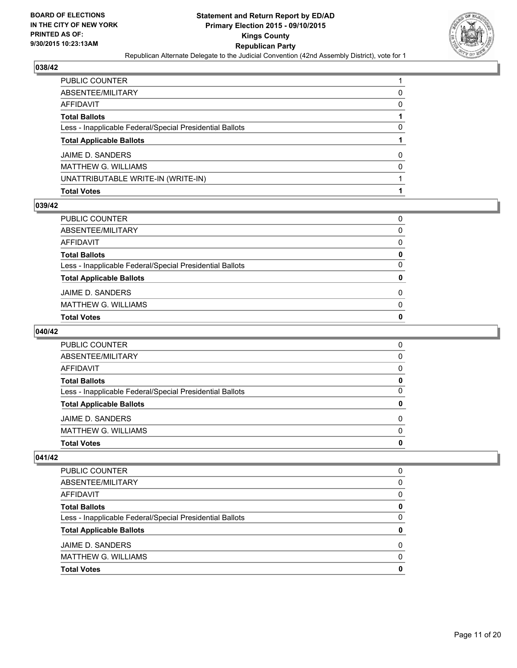

| PUBLIC COUNTER                                           |          |
|----------------------------------------------------------|----------|
| ABSENTEE/MILITARY                                        | 0        |
| AFFIDAVIT                                                | 0        |
| Total Ballots                                            |          |
| Less - Inapplicable Federal/Special Presidential Ballots | 0        |
| <b>Total Applicable Ballots</b>                          |          |
| JAIME D. SANDERS                                         | 0        |
| MATTHEW G. WILLIAMS                                      | $\Omega$ |
| UNATTRIBUTABLE WRITE-IN (WRITE-IN)                       |          |
| Total Votes                                              |          |

### **039/42**

| PUBLIC COUNTER                                           | 0        |
|----------------------------------------------------------|----------|
| ABSENTEE/MILITARY                                        | 0        |
| AFFIDAVIT                                                | 0        |
| Total Ballots                                            | 0        |
| Less - Inapplicable Federal/Special Presidential Ballots | 0        |
| <b>Total Applicable Ballots</b>                          | $\bf{0}$ |
| JAIME D. SANDERS                                         | 0        |
| MATTHEW G. WILLIAMS                                      | 0        |
| <b>Total Votes</b>                                       | 0        |
|                                                          |          |

# **040/42**

| <b>Total Votes</b>                                       | 0 |
|----------------------------------------------------------|---|
| <b>MATTHEW G. WILLIAMS</b>                               | 0 |
| JAIME D. SANDERS                                         | 0 |
| <b>Total Applicable Ballots</b>                          | 0 |
| Less - Inapplicable Federal/Special Presidential Ballots | 0 |
| <b>Total Ballots</b>                                     | 0 |
| AFFIDAVIT                                                | 0 |
| ABSENTEE/MILITARY                                        | 0 |
| <b>PUBLIC COUNTER</b>                                    | 0 |

# $\sqrt{041/42}$

| PUBLIC COUNTER                                           | 0 |
|----------------------------------------------------------|---|
| ABSENTEE/MILITARY                                        | 0 |
| AFFIDAVIT                                                | 0 |
| <b>Total Ballots</b>                                     | 0 |
| Less - Inapplicable Federal/Special Presidential Ballots | 0 |
| <b>Total Applicable Ballots</b>                          | 0 |
| JAIME D. SANDERS                                         | 0 |
| <b>MATTHEW G. WILLIAMS</b>                               | 0 |
| <b>Total Votes</b>                                       | 0 |
|                                                          |   |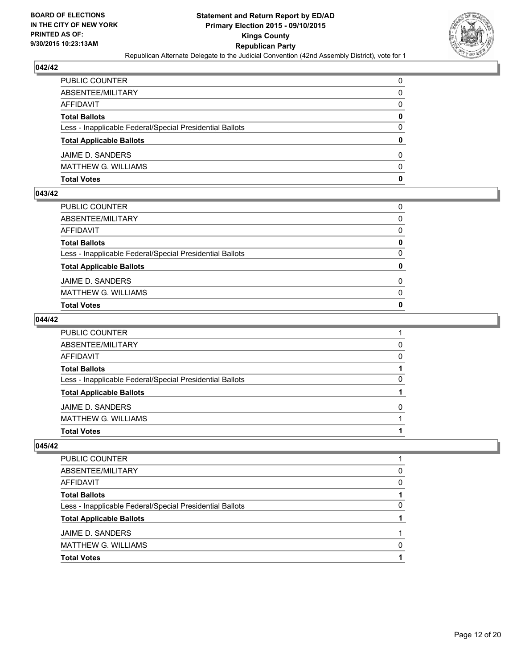

| PUBLIC COUNTER                                           | 0            |
|----------------------------------------------------------|--------------|
| ABSENTEE/MILITARY                                        | 0            |
| AFFIDAVIT                                                | $\mathbf{0}$ |
| <b>Total Ballots</b>                                     | 0            |
| Less - Inapplicable Federal/Special Presidential Ballots | $\Omega$     |
| <b>Total Applicable Ballots</b>                          | $\mathbf{0}$ |
| JAIME D. SANDERS                                         | 0            |
| MATTHEW G. WILLIAMS                                      | $\Omega$     |
| Total Votes                                              | 0            |

# **043/42**

| PUBLIC COUNTER                                           | $\Omega$     |
|----------------------------------------------------------|--------------|
| ABSENTEE/MILITARY                                        | $\Omega$     |
| AFFIDAVIT                                                | $\Omega$     |
| Total Ballots                                            | 0            |
| Less - Inapplicable Federal/Special Presidential Ballots | $\mathbf{0}$ |
| <b>Total Applicable Ballots</b>                          | 0            |
| JAIME D. SANDERS                                         | $\Omega$     |
| MATTHEW G. WILLIAMS                                      | 0            |
| Total Votes                                              | 0            |
|                                                          |              |

### **044/42**

| PUBLIC COUNTER                                           |              |
|----------------------------------------------------------|--------------|
| ABSENTEE/MILITARY                                        | 0            |
| AFFIDAVIT                                                | $\Omega$     |
| <b>Total Ballots</b>                                     |              |
| Less - Inapplicable Federal/Special Presidential Ballots | 0            |
| <b>Total Applicable Ballots</b>                          |              |
| JAIME D. SANDERS                                         | <sup>0</sup> |
| MATTHEW G. WILLIAMS                                      |              |
| Total Votes                                              |              |
|                                                          |              |

| PUBLIC COUNTER                                           |              |
|----------------------------------------------------------|--------------|
| ABSENTEE/MILITARY                                        | 0            |
| <b>AFFIDAVIT</b>                                         | <sup>0</sup> |
| <b>Total Ballots</b>                                     |              |
| Less - Inapplicable Federal/Special Presidential Ballots | O            |
| <b>Total Applicable Ballots</b>                          |              |
| JAIME D. SANDERS                                         |              |
| <b>MATTHEW G. WILLIAMS</b>                               | n            |
| <b>Total Votes</b>                                       |              |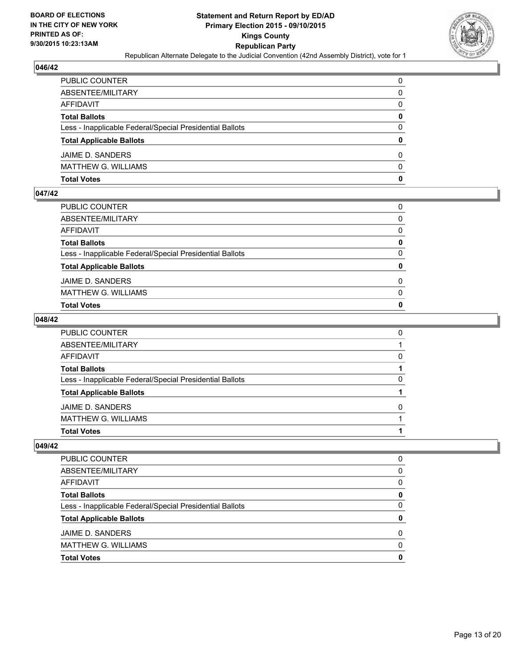

| PUBLIC COUNTER                                           | 0            |
|----------------------------------------------------------|--------------|
| ABSENTEE/MILITARY                                        | 0            |
| AFFIDAVIT                                                | $\mathbf{0}$ |
| <b>Total Ballots</b>                                     | 0            |
| Less - Inapplicable Federal/Special Presidential Ballots | $\Omega$     |
| <b>Total Applicable Ballots</b>                          | $\mathbf{0}$ |
| JAIME D. SANDERS                                         | 0            |
| MATTHEW G. WILLIAMS                                      | $\Omega$     |
| Total Votes                                              | 0            |

# **047/42**

| PUBLIC COUNTER                                           | $\Omega$     |
|----------------------------------------------------------|--------------|
| ABSENTEE/MILITARY                                        | $\Omega$     |
| AFFIDAVIT                                                | $\Omega$     |
| Total Ballots                                            | 0            |
| Less - Inapplicable Federal/Special Presidential Ballots | $\mathbf{0}$ |
| <b>Total Applicable Ballots</b>                          | 0            |
| JAIME D. SANDERS                                         | $\Omega$     |
| MATTHEW G. WILLIAMS                                      | 0            |
| Total Votes                                              | 0            |
|                                                          |              |

# **048/42**

| PUBLIC COUNTER                                           | 0            |
|----------------------------------------------------------|--------------|
| ABSENTEE/MILITARY                                        |              |
| AFFIDAVIT                                                | $\Omega$     |
| <b>Total Ballots</b>                                     |              |
| Less - Inapplicable Federal/Special Presidential Ballots | 0            |
| <b>Total Applicable Ballots</b>                          |              |
| JAIME D. SANDERS                                         | <sup>0</sup> |
| MATTHEW G. WILLIAMS                                      |              |
| Total Votes                                              |              |
|                                                          |              |

| PUBLIC COUNTER                                           | O            |
|----------------------------------------------------------|--------------|
| ABSENTEE/MILITARY                                        | <sup>0</sup> |
| AFFIDAVIT                                                | <sup>0</sup> |
| <b>Total Ballots</b>                                     | o            |
| Less - Inapplicable Federal/Special Presidential Ballots | <sup>0</sup> |
| <b>Total Applicable Ballots</b>                          |              |
| JAIME D. SANDERS                                         | O            |
| <b>MATTHEW G. WILLIAMS</b>                               | n            |
| <b>Total Votes</b>                                       |              |
|                                                          |              |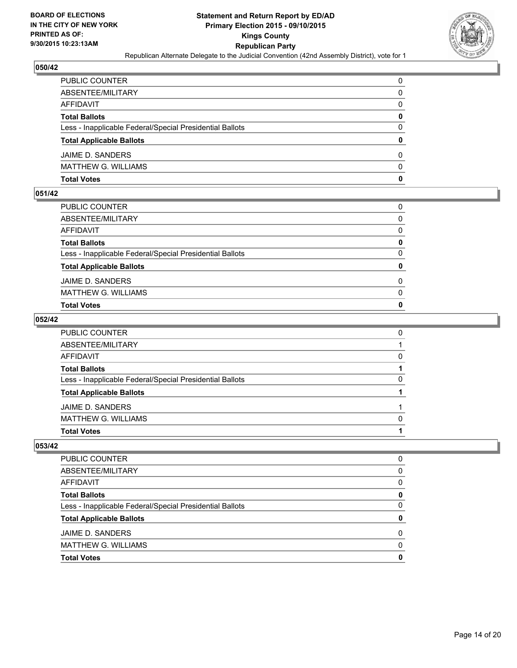

| PUBLIC COUNTER                                           | 0            |
|----------------------------------------------------------|--------------|
| ABSENTEE/MILITARY                                        | 0            |
| AFFIDAVIT                                                | $\mathbf{0}$ |
| <b>Total Ballots</b>                                     | 0            |
| Less - Inapplicable Federal/Special Presidential Ballots | $\Omega$     |
| <b>Total Applicable Ballots</b>                          | $\mathbf{0}$ |
| JAIME D. SANDERS                                         | 0            |
| MATTHEW G. WILLIAMS                                      | $\Omega$     |
| Total Votes                                              | $\mathbf{0}$ |

# **051/42**

| PUBLIC COUNTER                                           | $\Omega$     |
|----------------------------------------------------------|--------------|
| ABSENTEE/MILITARY                                        | $\Omega$     |
| AFFIDAVIT                                                | $\Omega$     |
| Total Ballots                                            | 0            |
| Less - Inapplicable Federal/Special Presidential Ballots | $\mathbf{0}$ |
| <b>Total Applicable Ballots</b>                          | 0            |
| JAIME D. SANDERS                                         | $\Omega$     |
| MATTHEW G. WILLIAMS                                      | 0            |
| Total Votes                                              | 0            |
|                                                          |              |

### **052/42**

| PUBLIC COUNTER                                           | 0        |
|----------------------------------------------------------|----------|
| ABSENTEE/MILITARY                                        |          |
| AFFIDAVIT                                                | $\Omega$ |
| <b>Total Ballots</b>                                     |          |
| Less - Inapplicable Federal/Special Presidential Ballots | 0        |
| <b>Total Applicable Ballots</b>                          |          |
| JAIME D. SANDERS                                         |          |
| MATTHEW G. WILLIAMS                                      | $\Omega$ |
| Total Votes                                              |          |
|                                                          |          |

| <b>PUBLIC COUNTER</b>                                    | 0            |
|----------------------------------------------------------|--------------|
| ABSENTEE/MILITARY                                        | <sup>0</sup> |
| AFFIDAVIT                                                | <sup>0</sup> |
| <b>Total Ballots</b>                                     |              |
| Less - Inapplicable Federal/Special Presidential Ballots | <sup>0</sup> |
| <b>Total Applicable Ballots</b>                          |              |
| JAIME D. SANDERS                                         | O            |
| <b>MATTHEW G. WILLIAMS</b>                               | n            |
| <b>Total Votes</b>                                       |              |
|                                                          |              |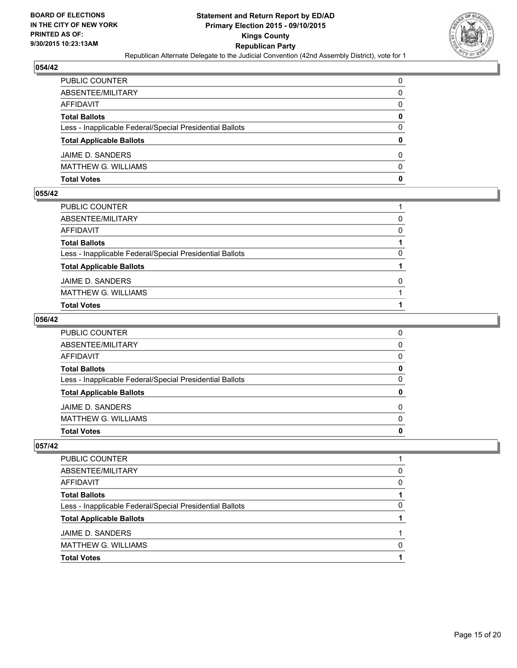

| PUBLIC COUNTER                                           | 0            |
|----------------------------------------------------------|--------------|
| ABSENTEE/MILITARY                                        | 0            |
| AFFIDAVIT                                                | $\mathbf{0}$ |
| <b>Total Ballots</b>                                     | 0            |
| Less - Inapplicable Federal/Special Presidential Ballots | $\Omega$     |
| <b>Total Applicable Ballots</b>                          | $\mathbf{0}$ |
| JAIME D. SANDERS                                         | 0            |
| MATTHEW G. WILLIAMS                                      | $\Omega$     |
| Total Votes                                              | 0            |

### **055/42**

| <b>Total Votes</b>                                       |   |
|----------------------------------------------------------|---|
| <b>MATTHEW G. WILLIAMS</b>                               |   |
| JAIME D. SANDERS                                         | 0 |
| <b>Total Applicable Ballots</b>                          |   |
| Less - Inapplicable Federal/Special Presidential Ballots | 0 |
| <b>Total Ballots</b>                                     |   |
| <b>AFFIDAVIT</b>                                         | 0 |
| ABSENTEE/MILITARY                                        | 0 |
| PUBLIC COUNTER                                           |   |

# **056/42**

| PUBLIC COUNTER                                           | 0        |
|----------------------------------------------------------|----------|
| ABSENTEE/MILITARY                                        | $\Omega$ |
| AFFIDAVIT                                                | $\Omega$ |
| <b>Total Ballots</b>                                     | 0        |
| Less - Inapplicable Federal/Special Presidential Ballots | 0        |
| <b>Total Applicable Ballots</b>                          | $\bf{0}$ |
| JAIME D. SANDERS                                         | $\Omega$ |
| MATTHEW G. WILLIAMS                                      | $\Omega$ |
| Total Votes                                              | 0        |
|                                                          |          |

| <b>PUBLIC COUNTER</b>                                    |              |
|----------------------------------------------------------|--------------|
| ABSENTEE/MILITARY                                        | <sup>0</sup> |
| AFFIDAVIT                                                | <sup>0</sup> |
| <b>Total Ballots</b>                                     |              |
| Less - Inapplicable Federal/Special Presidential Ballots | <sup>0</sup> |
| <b>Total Applicable Ballots</b>                          |              |
| JAIME D. SANDERS                                         |              |
| <b>MATTHEW G. WILLIAMS</b>                               | n            |
| <b>Total Votes</b>                                       |              |
|                                                          |              |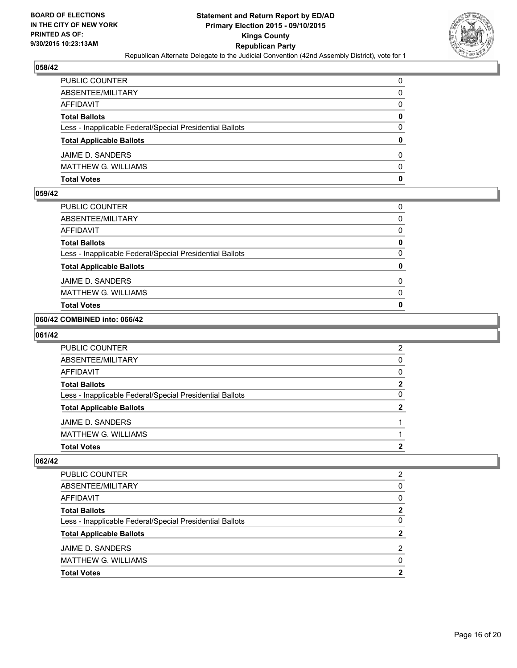

| PUBLIC COUNTER                                           | 0            |
|----------------------------------------------------------|--------------|
| ABSENTEE/MILITARY                                        | 0            |
| AFFIDAVIT                                                | $\mathbf{0}$ |
| <b>Total Ballots</b>                                     | $\mathbf{0}$ |
| Less - Inapplicable Federal/Special Presidential Ballots | $\Omega$     |
| <b>Total Applicable Ballots</b>                          | $\mathbf{0}$ |
| JAIME D. SANDERS                                         | 0            |
| MATTHEW G. WILLIAMS                                      | $\Omega$     |
| Total Votes                                              | $\mathbf{0}$ |

### **059/42**

| <b>Total Votes</b>                                       | 0 |
|----------------------------------------------------------|---|
| <b>MATTHEW G. WILLIAMS</b>                               | 0 |
| JAIME D. SANDERS                                         | 0 |
| <b>Total Applicable Ballots</b>                          |   |
| Less - Inapplicable Federal/Special Presidential Ballots | 0 |
| <b>Total Ballots</b>                                     | 0 |
| <b>AFFIDAVIT</b>                                         | 0 |
| ABSENTEE/MILITARY                                        | 0 |
| PUBLIC COUNTER                                           | 0 |

# **060/42 COMBINED into: 066/42**

### **061/42**

| <b>PUBLIC COUNTER</b>                                    | 2            |
|----------------------------------------------------------|--------------|
| ABSENTEE/MILITARY                                        | <sup>0</sup> |
| AFFIDAVIT                                                | 0            |
| <b>Total Ballots</b>                                     | 2            |
| Less - Inapplicable Federal/Special Presidential Ballots | 0            |
| <b>Total Applicable Ballots</b>                          | 2            |
| JAIME D. SANDERS                                         |              |
| <b>MATTHEW G. WILLIAMS</b>                               |              |
| <b>Total Votes</b>                                       | ּ            |

| <b>Total Votes</b>                                       | 2              |
|----------------------------------------------------------|----------------|
| <b>MATTHEW G. WILLIAMS</b>                               | $\Omega$       |
| JAIME D. SANDERS                                         | 2              |
| <b>Total Applicable Ballots</b>                          | $\overline{2}$ |
| Less - Inapplicable Federal/Special Presidential Ballots | $\Omega$       |
| <b>Total Ballots</b>                                     | $\mathbf{2}$   |
| AFFIDAVIT                                                | 0              |
| ABSENTEE/MILITARY                                        | 0              |
| <b>PUBLIC COUNTER</b>                                    | 2              |
|                                                          |                |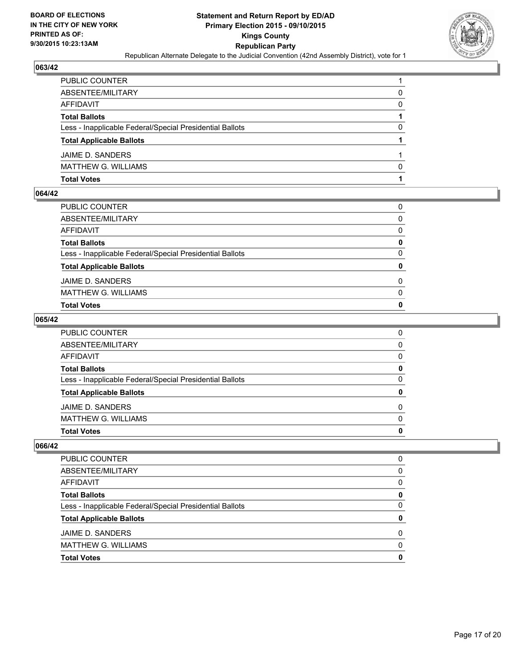

| PUBLIC COUNTER                                           |          |
|----------------------------------------------------------|----------|
| ABSENTEE/MILITARY                                        | 0        |
| AFFIDAVIT                                                | 0        |
| <b>Total Ballots</b>                                     |          |
| Less - Inapplicable Federal/Special Presidential Ballots | $\Omega$ |
| <b>Total Applicable Ballots</b>                          |          |
| JAIME D. SANDERS                                         |          |
| MATTHEW G. WILLIAMS                                      | $\Omega$ |
| Total Votes                                              |          |

# **064/42**

| <b>Total Votes</b>                                       | $\mathbf{0}$ |
|----------------------------------------------------------|--------------|
| <b>MATTHEW G. WILLIAMS</b>                               | 0            |
| JAIME D. SANDERS                                         | $\Omega$     |
| <b>Total Applicable Ballots</b>                          | 0            |
| Less - Inapplicable Federal/Special Presidential Ballots | 0            |
| <b>Total Ballots</b>                                     | 0            |
| <b>AFFIDAVIT</b>                                         | $\Omega$     |
| ABSENTEE/MILITARY                                        | $\Omega$     |
| PUBLIC COUNTER                                           | 0            |

### **065/42**

| PUBLIC COUNTER                                           | 0            |
|----------------------------------------------------------|--------------|
| ABSENTEE/MILITARY                                        | $\Omega$     |
| AFFIDAVIT                                                | $\Omega$     |
| <b>Total Ballots</b>                                     | $\mathbf{0}$ |
| Less - Inapplicable Federal/Special Presidential Ballots | 0            |
| <b>Total Applicable Ballots</b>                          | $\bf{0}$     |
| JAIME D. SANDERS                                         | $\Omega$     |
| MATTHEW G. WILLIAMS                                      | $\Omega$     |
| Total Votes                                              | $\mathbf{0}$ |
|                                                          |              |

| PUBLIC COUNTER                                           |   |
|----------------------------------------------------------|---|
| ABSENTEE/MILITARY                                        | 0 |
| AFFIDAVIT                                                | 0 |
| <b>Total Ballots</b>                                     | Ω |
| Less - Inapplicable Federal/Special Presidential Ballots | O |
| <b>Total Applicable Ballots</b>                          |   |
| JAIME D. SANDERS                                         | ŋ |
| <b>MATTHEW G. WILLIAMS</b>                               | n |
| <b>Total Votes</b>                                       |   |
|                                                          |   |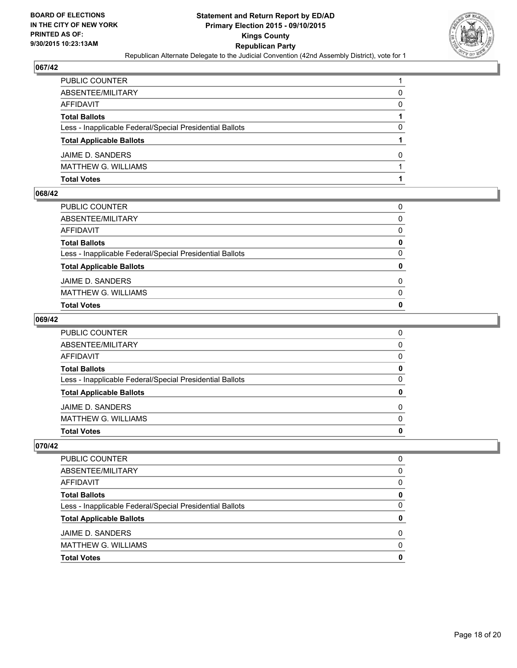

| PUBLIC COUNTER                                           |          |
|----------------------------------------------------------|----------|
| ABSENTEE/MILITARY                                        | 0        |
| AFFIDAVIT                                                | $\Omega$ |
| <b>Total Ballots</b>                                     |          |
| Less - Inapplicable Federal/Special Presidential Ballots | $\Omega$ |
| <b>Total Applicable Ballots</b>                          |          |
| JAIME D. SANDERS                                         | 0        |
| MATTHEW G. WILLIAMS                                      |          |
| Total Votes                                              |          |

### **068/42**

| <b>Total Votes</b>                                       | 0            |
|----------------------------------------------------------|--------------|
| <b>MATTHEW G. WILLIAMS</b>                               | $\Omega$     |
| JAIME D. SANDERS                                         | $\Omega$     |
| <b>Total Applicable Ballots</b>                          | $\mathbf{0}$ |
| Less - Inapplicable Federal/Special Presidential Ballots | 0            |
| <b>Total Ballots</b>                                     | 0            |
| <b>AFFIDAVIT</b>                                         | $\Omega$     |
| ABSENTEE/MILITARY                                        | $\Omega$     |
| PUBLIC COUNTER                                           | 0            |

### **069/42**

| PUBLIC COUNTER                                           | 0            |
|----------------------------------------------------------|--------------|
| ABSENTEE/MILITARY                                        | $\mathbf{0}$ |
| AFFIDAVIT                                                | $\Omega$     |
| <b>Total Ballots</b>                                     | 0            |
| Less - Inapplicable Federal/Special Presidential Ballots | $\Omega$     |
| <b>Total Applicable Ballots</b>                          | $\mathbf{0}$ |
| JAIME D. SANDERS                                         | $\Omega$     |
| MATTHEW G. WILLIAMS                                      | $\Omega$     |
| Total Votes                                              | $\mathbf{0}$ |
|                                                          |              |

| <b>PUBLIC COUNTER</b>                                    | 0            |
|----------------------------------------------------------|--------------|
| ABSENTEE/MILITARY                                        | <sup>0</sup> |
| AFFIDAVIT                                                | <sup>0</sup> |
| <b>Total Ballots</b>                                     |              |
| Less - Inapplicable Federal/Special Presidential Ballots | <sup>0</sup> |
| <b>Total Applicable Ballots</b>                          |              |
| JAIME D. SANDERS                                         | O            |
| <b>MATTHEW G. WILLIAMS</b>                               | n            |
| <b>Total Votes</b>                                       |              |
|                                                          |              |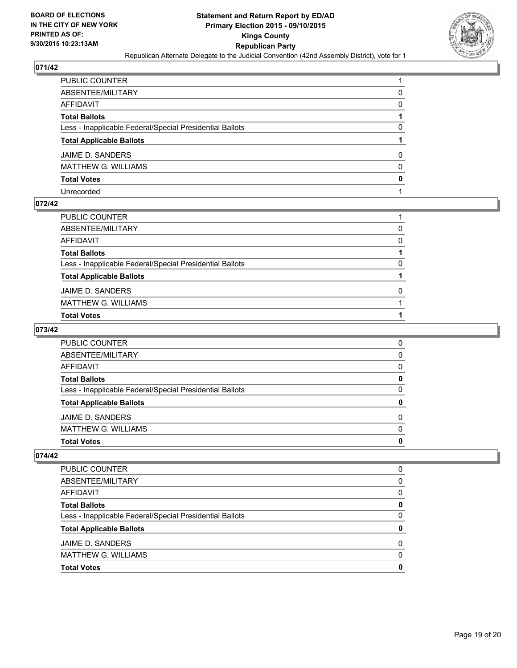

| PUBLIC COUNTER                                           |              |
|----------------------------------------------------------|--------------|
| ABSENTEE/MILITARY                                        | 0            |
| AFFIDAVIT                                                | 0            |
| Total Ballots                                            |              |
| Less - Inapplicable Federal/Special Presidential Ballots | 0            |
| <b>Total Applicable Ballots</b>                          |              |
| JAIME D. SANDERS                                         | 0            |
| MATTHEW G. WILLIAMS                                      | $\mathbf{0}$ |
| <b>Total Votes</b>                                       | $\mathbf{0}$ |
| Unrecorded                                               |              |

### **072/42**

| PUBLIC COUNTER                                           |   |
|----------------------------------------------------------|---|
| ABSENTEE/MILITARY                                        | 0 |
| AFFIDAVIT                                                | 0 |
| Total Ballots                                            |   |
| Less - Inapplicable Federal/Special Presidential Ballots | 0 |
| <b>Total Applicable Ballots</b>                          |   |
| JAIME D. SANDERS                                         | 0 |
| MATTHEW G. WILLIAMS                                      |   |
| Total Votes                                              |   |
|                                                          |   |

# **073/42**

| <b>Total Votes</b>                                       | 0 |
|----------------------------------------------------------|---|
| <b>MATTHEW G. WILLIAMS</b>                               | 0 |
| JAIME D. SANDERS                                         | 0 |
| <b>Total Applicable Ballots</b>                          | 0 |
| Less - Inapplicable Federal/Special Presidential Ballots | 0 |
| <b>Total Ballots</b>                                     | 0 |
| AFFIDAVIT                                                | 0 |
| ABSENTEE/MILITARY                                        | 0 |
| <b>PUBLIC COUNTER</b>                                    | 0 |

| <b>PUBLIC COUNTER</b>                                    | 0 |
|----------------------------------------------------------|---|
| ABSENTEE/MILITARY                                        | 0 |
| AFFIDAVIT                                                | 0 |
| <b>Total Ballots</b>                                     | 0 |
| Less - Inapplicable Federal/Special Presidential Ballots | 0 |
| <b>Total Applicable Ballots</b>                          | 0 |
| JAIME D. SANDERS                                         | 0 |
| <b>MATTHEW G. WILLIAMS</b>                               | 0 |
| <b>Total Votes</b>                                       | o |
|                                                          |   |